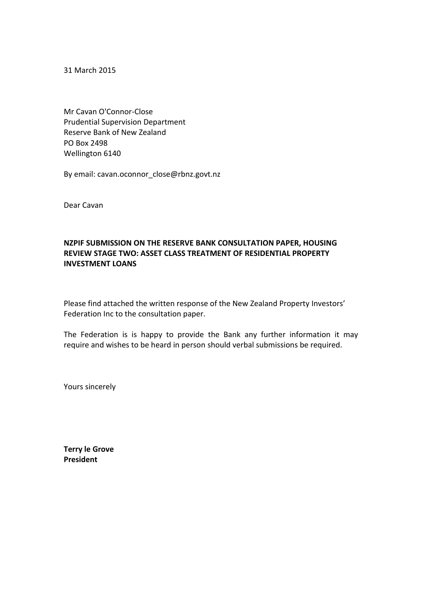31 March 2015

Mr Cavan O'Connor-Close Prudential Supervision Department Reserve Bank of New Zealand PO Box 2498 Wellington 6140

By email: cavan.oconnor\_close@rbnz.govt.nz

Dear Cavan

### **NZPIF SUBMISSION ON THE RESERVE BANK CONSULTATION PAPER, HOUSING REVIEW STAGE TWO: ASSET CLASS TREATMENT OF RESIDENTIAL PROPERTY INVESTMENT LOANS**

Please find attached the written response of the New Zealand Property Investors' Federation Inc to the consultation paper.

The Federation is is happy to provide the Bank any further information it may require and wishes to be heard in person should verbal submissions be required.

Yours sincerely

**Terry le Grove President**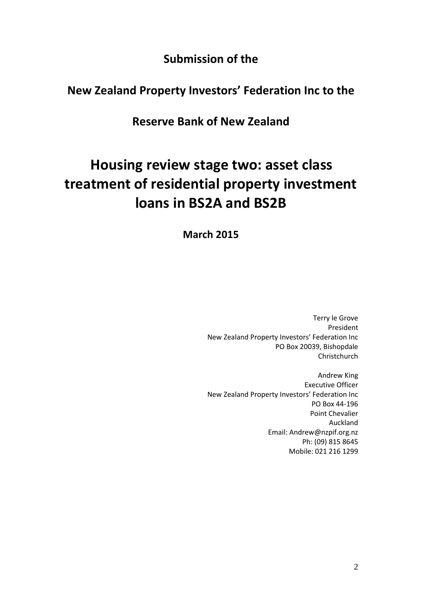**Submission of the**

## **New Zealand Property Investors' Federation Inc to the**

**Reserve Bank of New Zealand**

# **Housing review stage two: asset class treatment of residential property investment loans in BS2A and BS2B**

**March 2015**

Terry le Grove President New Zealand Property Investors' Federation Inc PO Box 20039, Bishopdale Christchurch

Andrew King Executive Officer New Zealand Property Investors' Federation Inc PO Box 44-196 Point Chevalier Auckland Email: Andrew@nzpif.org.nz Ph: (09) 815 8645 Mobile: 021 216 1299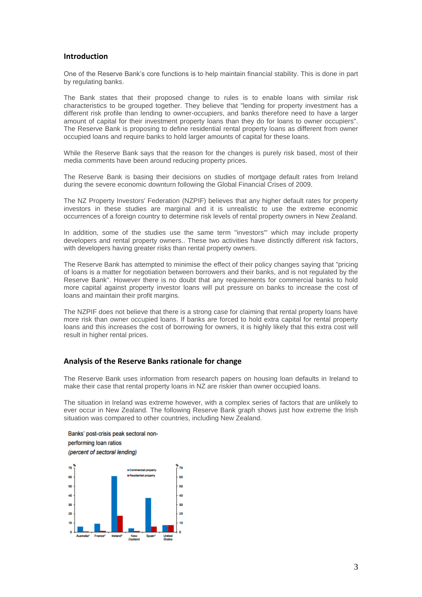#### **Introduction**

One of the Reserve Bank's core functions is to help maintain financial stability. This is done in part by regulating banks.

The Bank states that their proposed change to rules is to enable loans with similar risk characteristics to be grouped together. They believe that "lending for property investment has a different risk profile than lending to owner-occupiers, and banks therefore need to have a larger amount of capital for their investment property loans than they do for loans to owner occupiers". The Reserve Bank is proposing to define residential rental property loans as different from owner occupied loans and require banks to hold larger amounts of capital for these loans.

While the Reserve Bank says that the reason for the changes is purely risk based, most of their media comments have been around reducing property prices.

The Reserve Bank is basing their decisions on studies of mortgage default rates from Ireland during the severe economic downturn following the Global Financial Crises of 2009.

The NZ Property Investors' Federation (NZPIF) believes that any higher default rates for property investors in these studies are marginal and it is unrealistic to use the extreme economic occurrences of a foreign country to determine risk levels of rental property owners in New Zealand.

In addition, some of the studies use the same term "investors'" which may include property developers and rental property owners.. These two activities have distinctly different risk factors, with developers having greater risks than rental property owners.

The Reserve Bank has attempted to minimise the effect of their policy changes saying that "pricing of loans is a matter for negotiation between borrowers and their banks, and is not regulated by the Reserve Bank". However there is no doubt that any requirements for commercial banks to hold more capital against property investor loans will put pressure on banks to increase the cost of loans and maintain their profit margins.

The NZPIF does not believe that there is a strong case for claiming that rental property loans have more risk than owner occupied loans. If banks are forced to hold extra capital for rental property loans and this increases the cost of borrowing for owners, it is highly likely that this extra cost will result in higher rental prices.

#### **Analysis of the Reserve Banks rationale for change**

The Reserve Bank uses information from research papers on housing loan defaults in Ireland to make their case that rental property loans in NZ are riskier than owner occupied loans.

The situation in Ireland was extreme however, with a complex series of factors that are unlikely to ever occur in New Zealand. The following Reserve Bank graph shows just how extreme the Irish situation was compared to other countries, including New Zealand.

Banks' post-crisis peak sectoral nonperforming loan ratios (percent of sectoral lending)

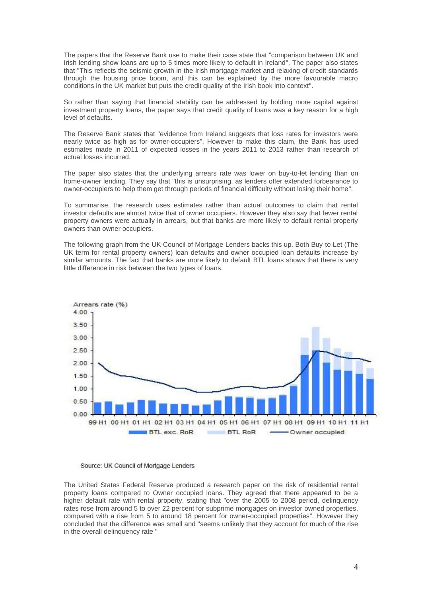The papers that the Reserve Bank use to make their case state that "comparison between UK and Irish lending show loans are up to 5 times more likely to default in Ireland". The paper also states that "This reflects the seismic growth in the Irish mortgage market and relaxing of credit standards through the housing price boom, and this can be explained by the more favourable macro conditions in the UK market but puts the credit quality of the Irish book into context".

So rather than saying that financial stability can be addressed by holding more capital against investment property loans, the paper says that credit quality of loans was a key reason for a high level of defaults.

The Reserve Bank states that "evidence from Ireland suggests that loss rates for investors were nearly twice as high as for owner-occupiers". However to make this claim, the Bank has used estimates made in 2011 of expected losses in the years 2011 to 2013 rather than research of actual losses incurred.

The paper also states that the underlying arrears rate was lower on buy-to-let lending than on home-owner lending. They say that "this is unsurprising, as lenders offer extended forbearance to owner-occupiers to help them get through periods of financial difficulty without losing their home".

To summarise, the research uses estimates rather than actual outcomes to claim that rental investor defaults are almost twice that of owner occupiers. However they also say that fewer rental property owners were actually in arrears, but that banks are more likely to default rental property owners than owner occupiers.

The following graph from the UK Council of Mortgage Lenders backs this up. Both Buy-to-Let (The UK term for rental property owners) loan defaults and owner occupied loan defaults increase by similar amounts. The fact that banks are more likely to default BTL loans shows that there is very little difference in risk between the two types of loans.





The United States Federal Reserve produced a research paper on the risk of residential rental property loans compared to Owner occupied loans. They agreed that there appeared to be a higher default rate with rental property, stating that "over the 2005 to 2008 period, delinquency rates rose from around 5 to over 22 percent for subprime mortgages on investor owned properties, compared with a rise from 5 to around 18 percent for owner-occupied properties". However they concluded that the difference was small and "seems unlikely that they account for much of the rise in the overall delinquency rate "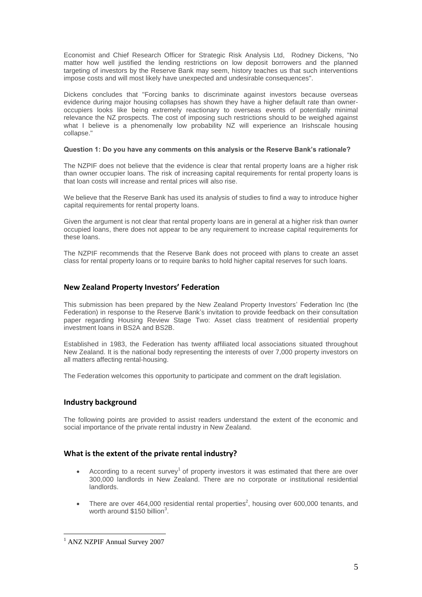Economist and Chief Research Officer for Strategic Risk Analysis Ltd, Rodney Dickens, "No matter how well justified the lending restrictions on low deposit borrowers and the planned targeting of investors by the Reserve Bank may seem, history teaches us that such interventions impose costs and will most likely have unexpected and undesirable consequences".

Dickens concludes that "Forcing banks to discriminate against investors because overseas evidence during major housing collapses has shown they have a higher default rate than owneroccupiers looks like being extremely reactionary to overseas events of potentially minimal relevance the NZ prospects. The cost of imposing such restrictions should to be weighed against what I believe is a phenomenally low probability NZ will experience an Irishscale housing collapse."

#### **Question 1: Do you have any comments on this analysis or the Reserve Bank's rationale?**

The NZPIF does not believe that the evidence is clear that rental property loans are a higher risk than owner occupier loans. The risk of increasing capital requirements for rental property loans is that loan costs will increase and rental prices will also rise.

We believe that the Reserve Bank has used its analysis of studies to find a way to introduce higher capital requirements for rental property loans.

Given the argument is not clear that rental property loans are in general at a higher risk than owner occupied loans, there does not appear to be any requirement to increase capital requirements for these loans.

The NZPIF recommends that the Reserve Bank does not proceed with plans to create an asset class for rental property loans or to require banks to hold higher capital reserves for such loans.

#### **New Zealand Property Investors' Federation**

This submission has been prepared by the New Zealand Property Investors' Federation Inc (the Federation) in response to the Reserve Bank's invitation to provide feedback on their consultation paper regarding Housing Review Stage Two: Asset class treatment of residential property investment loans in BS2A and BS2B.

Established in 1983, the Federation has twenty affiliated local associations situated throughout New Zealand. It is the national body representing the interests of over 7,000 property investors on all matters affecting rental-housing.

The Federation welcomes this opportunity to participate and comment on the draft legislation.

#### **Industry background**

The following points are provided to assist readers understand the extent of the economic and social importance of the private rental industry in New Zealand.

#### **What is the extent of the private rental industry?**

- According to a recent survey<sup>1</sup> of property investors it was estimated that there are over 300,000 landlords in New Zealand. There are no corporate or institutional residential landlords.
- There are over 464,000 residential rental properties<sup>2</sup>, housing over 600,000 tenants, and worth around \$150 billion<sup>3</sup>.

1

<sup>&</sup>lt;sup>1</sup> ANZ NZPIF Annual Survey 2007